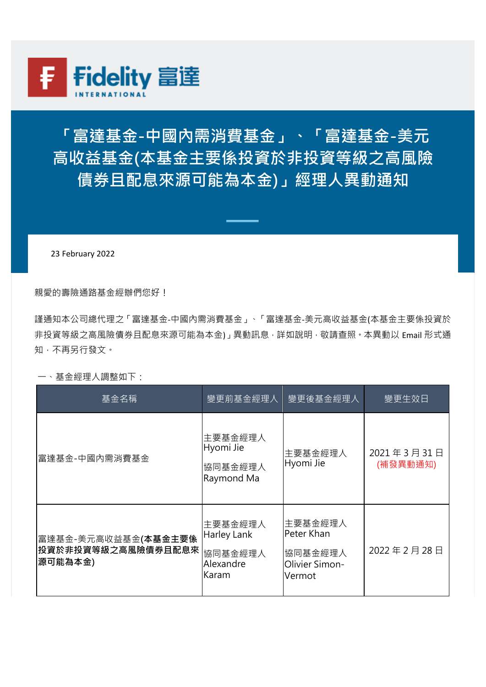

**「富達基金-中國內需消費基金」、「富達基金-美元 高收益基金(本基金主要係投資於非投資等級之高風險 債券且配息來源可能為本金)」經理人異動通知**

23 February 2022

親愛的壽險通路基金經辦們您好!

謹通知本公司總代理之「富達基金-中國內需消費基金」、「富達基金-美元高收益基金(本基金主要係投資於 非投資等級之高風險債券且配息來源可能為本金)」異動訊息,詳如說明,敬請查照,本異動以 Email 形式通 知,不再另行發文。

一、基金經理人調整如下:

| 基金名稱                                                          | 變更前基金經理人                                                | 變更後基金經理人                                                     | 變更生效日                  |
|---------------------------------------------------------------|---------------------------------------------------------|--------------------------------------------------------------|------------------------|
| 富達基金-中國內需消費基金                                                 | 主要基金經理人<br>Hyomi Jie<br>協同基金經理人<br>Raymond Ma           | 主要基金經理人<br>Hyomi Jie                                         | 2021年3月31日<br>(補發異動通知) |
| 富達基金-美元高收益基金(本基金主要係<br><b> 投資於非投資等級之高風險債券且配息來</b><br> 源可能為本金) | 主要基金經理人<br>Harley Lank<br>協同基金經理人<br>Alexandre<br>Karam | 主要基金經理人<br>Peter Khan<br>協同基金經理人<br>Olivier Simon-<br>Vermot | 2022年2月28日             |